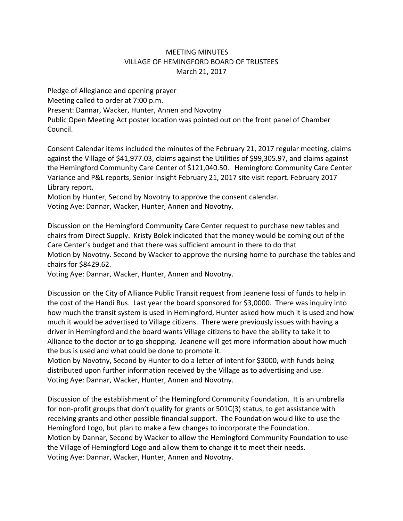## MEETING MINUTES VILLAGE OF HEMINGFORD BOARD OF TRUSTEES March 21, 2017

Pledge of Allegiance and opening prayer Meeting called to order at 7:00 p.m. Present: Dannar, Wacker, Hunter, Annen and Novotny Public Open Meeting Act poster location was pointed out on the front panel of Chamber Council.

Consent Calendar items included the minutes of the February 21, 2017 regular meeting, claims against the Village of \$41,977.03, claims against the Utilities of \$99,305.97, and claims against the Hemingford Community Care Center of \$121,040.50. Hemingford Community Care Center Variance and P&L reports, Senior Insight February 21, 2017 site visit report. February 2017 Library report.

Motion by Hunter, Second by Novotny to approve the consent calendar.

Voting Aye: Dannar, Wacker, Hunter, Annen and Novotny.

Discussion on the Hemingford Community Care Center request to purchase new tables and chairs from Direct Supply. Kristy Bolek indicated that the money would be coming out of the Care Center's budget and that there was sufficient amount in there to do that Motion by Novotny. Second by Wacker to approve the nursing home to purchase the tables and chairs for \$8429.62.

Voting Aye: Dannar, Wacker, Hunter, Annen and Novotny.

Discussion on the City of Alliance Public Transit request from Jeanene Iossi of funds to help in the cost of the Handi Bus. Last year the board sponsored for \$3,0000. There was inquiry into how much the transit system is used in Hemingford, Hunter asked how much it is used and how much it would be advertised to Village citizens. There were previously issues with having a driver in Hemingford and the board wants Village citizens to have the ability to take it to Alliance to the doctor or to go shopping. Jeanene will get more information about how much the bus is used and what could be done to promote it.

Motion by Novotny, Second by Hunter to do a letter of intent for \$3000, with funds being distributed upon further information received by the Village as to advertising and use. Voting Aye: Dannar, Wacker, Hunter, Annen and Novotny.

Discussion of the establishment of the Hemingford Community Foundation. It is an umbrella for non-profit groups that don't qualify for grants or 501C(3) status, to get assistance with receiving grants and other possible financial support. The Foundation would like to use the Hemingford Logo, but plan to make a few changes to incorporate the Foundation. Motion by Dannar, Second by Wacker to allow the Hemingford Community Foundation to use the Village of Hemingford Logo and allow them to change it to meet their needs. Voting Aye: Dannar, Wacker, Hunter, Annen and Novotny.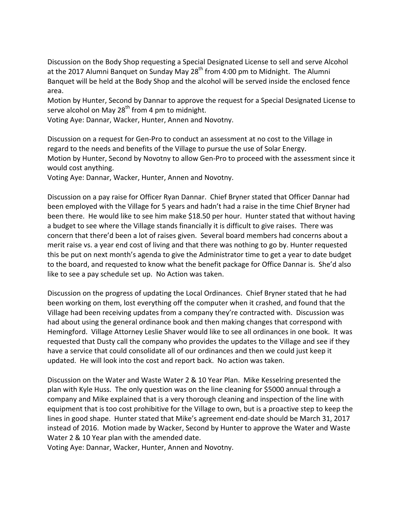Discussion on the Body Shop requesting a Special Designated License to sell and serve Alcohol at the 2017 Alumni Banquet on Sunday May  $28<sup>th</sup>$  from 4:00 pm to Midnight. The Alumni Banquet will be held at the Body Shop and the alcohol will be served inside the enclosed fence area.

Motion by Hunter, Second by Dannar to approve the request for a Special Designated License to serve alcohol on May  $28<sup>th</sup>$  from 4 pm to midnight.

Voting Aye: Dannar, Wacker, Hunter, Annen and Novotny.

Discussion on a request for Gen‐Pro to conduct an assessment at no cost to the Village in regard to the needs and benefits of the Village to pursue the use of Solar Energy. Motion by Hunter, Second by Novotny to allow Gen‐Pro to proceed with the assessment since it would cost anything.

Voting Aye: Dannar, Wacker, Hunter, Annen and Novotny.

Discussion on a pay raise for Officer Ryan Dannar. Chief Bryner stated that Officer Dannar had been employed with the Village for 5 years and hadn't had a raise in the time Chief Bryner had been there. He would like to see him make \$18.50 per hour. Hunter stated that without having a budget to see where the Village stands financially it is difficult to give raises. There was concern that there'd been a lot of raises given. Several board members had concerns about a merit raise vs. a year end cost of living and that there was nothing to go by. Hunter requested this be put on next month's agenda to give the Administrator time to get a year to date budget to the board, and requested to know what the benefit package for Office Dannar is. She'd also like to see a pay schedule set up. No Action was taken.

Discussion on the progress of updating the Local Ordinances. Chief Bryner stated that he had been working on them, lost everything off the computer when it crashed, and found that the Village had been receiving updates from a company they're contracted with. Discussion was had about using the general ordinance book and then making changes that correspond with Hemingford. Village Attorney Leslie Shaver would like to see all ordinances in one book. It was requested that Dusty call the company who provides the updates to the Village and see if they have a service that could consolidate all of our ordinances and then we could just keep it updated. He will look into the cost and report back. No action was taken.

Discussion on the Water and Waste Water 2 & 10 Year Plan. Mike Kesselring presented the plan with Kyle Huss. The only question was on the line cleaning for \$5000 annual through a company and Mike explained that is a very thorough cleaning and inspection of the line with equipment that is too cost prohibitive for the Village to own, but is a proactive step to keep the lines in good shape. Hunter stated that Mike's agreement end‐date should be March 31, 2017 instead of 2016. Motion made by Wacker, Second by Hunter to approve the Water and Waste Water 2 & 10 Year plan with the amended date.

Voting Aye: Dannar, Wacker, Hunter, Annen and Novotny.